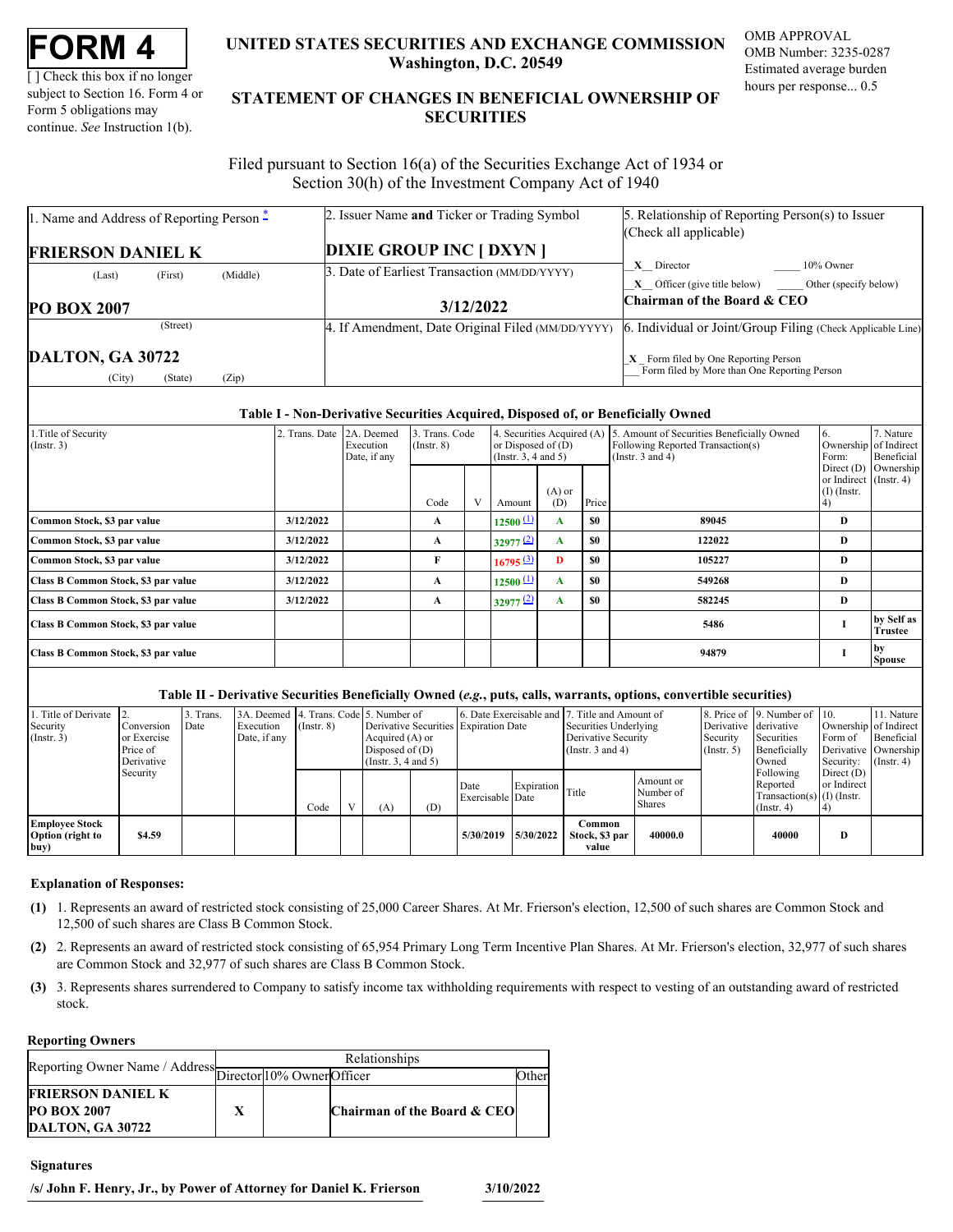| <b>FORM</b> |  |
|-------------|--|
|-------------|--|

[ ] Check this box if no longer subject to Section 16. Form 4 or Form 5 obligations may continue. *See* Instruction 1(b).

# **UNITED STATES SECURITIES AND EXCHANGE COMMISSION OMB APPROVAL Washington, D.C. 20549**

OMB Number: 3235-0287 Estimated average burden hours per response... 0.5

# **UNITED STATES SECURITIES AND EXCHANGE COMMISSION**<br>
UNITED STATES SECURITIES AND EXCHANGE COMMISSION<br>
UNERSITY OF SUBJECT AND THE STATEMENT OF CHANGES IN BENEFICIAL OWNERSHIP OF<br>
Form 5 obligations may<br>
continue. See Instr **STATEMENT OF CHANGES IN BENEFICIAL OWNERSHIP OF SECURITIES** TATES SECURITIES AND EXCHANGE COMMISSION OMB APPROVAL<br>Washington, D.C. 20549<br>Estimated average burden<br>ENT OF CHANGES IN BENEFICIAL OWNERSHIP OF<br>SECURITIES

 Filed pursuant to Section 16(a) of the Securities Exchange Act of 1934 or Section 30(h) of the Investment Company Act of 1940

| 1. Name and Address of Reporting Person –             | 2. Issuer Name and Ticker or Trading Symbol  | 5. Relationship of Reporting Person(s) to Issuer                                                              |
|-------------------------------------------------------|----------------------------------------------|---------------------------------------------------------------------------------------------------------------|
|                                                       |                                              | (Check all applicable)                                                                                        |
| <b>FRIERSON DANIEL K</b>                              | <b>DIXIE GROUP INC [ DXYN ]</b>              |                                                                                                               |
| (Middle)<br>(Last)<br>(First)                         | 3. Date of Earliest Transaction (MM/DD/YYYY) | $X$ Director<br>10% Owner                                                                                     |
|                                                       |                                              | $X$ Officer (give title below)<br>Other (specify below)<br>Chairman of the Board & CEO                        |
| <b>PO BOX 2007</b>                                    | 3/12/2022                                    |                                                                                                               |
| (Street)                                              |                                              | 4. If Amendment, Date Original Filed (MM/DD/YYYY) 6. Individual or Joint/Group Filing (Check Applicable Line) |
| <b>DALTON, GA 30722</b><br>(Zip)<br>(State)<br>(City) |                                              | X Form filed by One Reporting Person<br>Form filed by More than One Reporting Person                          |

## **Table I - Non-Derivative Securities Acquired, Disposed of, or Beneficially Owned**

| 1. Title of Security<br>$($ Instr. 3 $)$ |           | Trans. Date 2A. Deemed<br>Execution<br>Date, if any | . Trans. Code<br>$($ Instr. $8)$ |          | or Disposed of $(D)$<br>(Instr. $3, 4$ and $5$ ) | . Securities Acquired (A) |       | Amount of Securities Beneficially Owned<br>Following Reported Transaction(s)<br>(Instr. $3$ and $4$ ) | Ownership<br>Form:                                                | Nature<br>of Indirect<br>Beneficial |
|------------------------------------------|-----------|-----------------------------------------------------|----------------------------------|----------|--------------------------------------------------|---------------------------|-------|-------------------------------------------------------------------------------------------------------|-------------------------------------------------------------------|-------------------------------------|
|                                          |           |                                                     | Code                             | <b>T</b> | Amount                                           | $(A)$ or<br>(D)           | Price |                                                                                                       | Direct $(D)$ Ownership<br>or Indirect (Instr. 4)<br>$(I)$ (Instr. |                                     |
| Common Stock, \$3 par value              | 3/12/2022 |                                                     | $\mathbf{A}$                     |          | $12500 \frac{11}{2}$                             |                           | \$0   | 89045                                                                                                 | D                                                                 |                                     |
| Common Stock, \$3 par value              | 3/12/2022 |                                                     | A                                |          | 32977 $\frac{2}{2}$                              | A                         | \$0   | 122022                                                                                                | D                                                                 |                                     |
| Common Stock, \$3 par value              | 3/12/2022 |                                                     |                                  |          | 16795 (3)                                        |                           | \$0   | 105227                                                                                                | D                                                                 |                                     |
| Class B Common Stock, \$3 par value      | 3/12/2022 |                                                     | A                                |          | $12500 \frac{1}{2}$                              | A                         | \$0   | 549268                                                                                                | D                                                                 |                                     |
| Class B Common Stock, \$3 par value      | 3/12/2022 |                                                     | $\mathbf{A}$                     |          | $32977$ (2)                                      | A                         | \$0   | 582245                                                                                                | D                                                                 |                                     |
| Class B Common Stock, \$3 par value      |           |                                                     |                                  |          |                                                  |                           |       | 5486                                                                                                  |                                                                   | by Self as<br>Trustee               |
| Class B Common Stock, \$3 par value      |           |                                                     |                                  |          |                                                  |                           |       | 94879                                                                                                 |                                                                   | by<br><b>Spouse</b>                 |
|                                          |           |                                                     |                                  |          |                                                  |                           |       |                                                                                                       |                                                                   |                                     |

## **Table II - Derivative Securities Beneficially Owned (***e.g.***, puts, calls, warrants, options, convertible securities)**

| 1. Title of Derivate 2.<br>Security<br>$($ Instr. 3 $)$   | Conversion<br>or Exercise<br>Price of<br>Derivative | . Trans.<br>Date | 3A. Deemed 4. Trans. Code 5. Number of<br>Execution<br>Date, if any | $[$ Instr. $8)$ | Acquired (A) or<br>Disposed of $(D)$<br>(Instr. $3, 4$ and $5$ ) |     | Derivative Securities Expiration Date | 6. Date Exercisable and 7. Title and Amount of<br>Securities Underlying<br>Derivative Security<br>(Instr. $3$ and $4$ ) |                                         | Derivative<br>Security<br>$($ Instr. $5$ | 8. Price of 9. Number of 10.<br>derivative<br>Securities<br>Beneficially<br>Owned | Ownership of Indirect<br>Form of<br>Derivative Ownership<br>Security: | 11. Nature<br>Beneficial<br>$($ Instr. 4 $)$ |
|-----------------------------------------------------------|-----------------------------------------------------|------------------|---------------------------------------------------------------------|-----------------|------------------------------------------------------------------|-----|---------------------------------------|-------------------------------------------------------------------------------------------------------------------------|-----------------------------------------|------------------------------------------|-----------------------------------------------------------------------------------|-----------------------------------------------------------------------|----------------------------------------------|
|                                                           | Security                                            |                  |                                                                     | Code            | (A)                                                              | (D) | Date<br>Exercisable Date              | Expiration Title                                                                                                        | Amount or<br>Number of<br><b>Shares</b> |                                          | Following<br>Reported<br>Transaction(s) $(I)$ (Instr.<br>$($ Instr. 4 $)$         | Direct (D)<br>or Indirect                                             |                                              |
| <b>Employee Stock</b><br><b>Option</b> (right to<br> buy) | \$4.59                                              |                  |                                                                     |                 |                                                                  |     | 5/30/2019 5/30/2022                   | Common<br>Stock, \$3 par<br>value                                                                                       | 40000.0                                 |                                          | 40000                                                                             |                                                                       |                                              |

## **Explanation of Responses:**

- <span id="page-0-0"></span>**(1)** 1. Represents an award of restricted stock consisting of 25,000 Career Shares. At Mr. Frierson's election, 12,500 of such shares are Common Stock and 12,500 of such shares are Class B Common Stock.
- <span id="page-0-1"></span>**(2)** 2. Represents an award of restricted stock consisting of 65,954 Primary Long Term Incentive Plan Shares. At Mr. Frierson's election, 32,977 of such shares are Common Stock and 32,977 of such shares are Class B Common Stock.
- <span id="page-0-2"></span>**(3)** 3. Represents shares surrendered to Company to satisfy income tax withholding requirements with respect to vesting of an outstanding award of restricted stock.

#### **Reporting Owners**

| Reporting Owner Name / Address |                |                            | Relationships               |              |
|--------------------------------|----------------|----------------------------|-----------------------------|--------------|
|                                |                | Director 10% Owner Officer |                             | <b>Other</b> |
| <b>FRIERSON DANIEL K</b>       |                |                            |                             |              |
| <b>PO BOX 2007</b>             | $\overline{ }$ |                            | Chairman of the Board & CEO |              |
| <b>DALTON, GA 30722</b>        |                |                            |                             |              |

#### **Signatures**

**/s/ John F. Henry, Jr., by Power of Attorney for Daniel K. Frierson 3/10/2022**